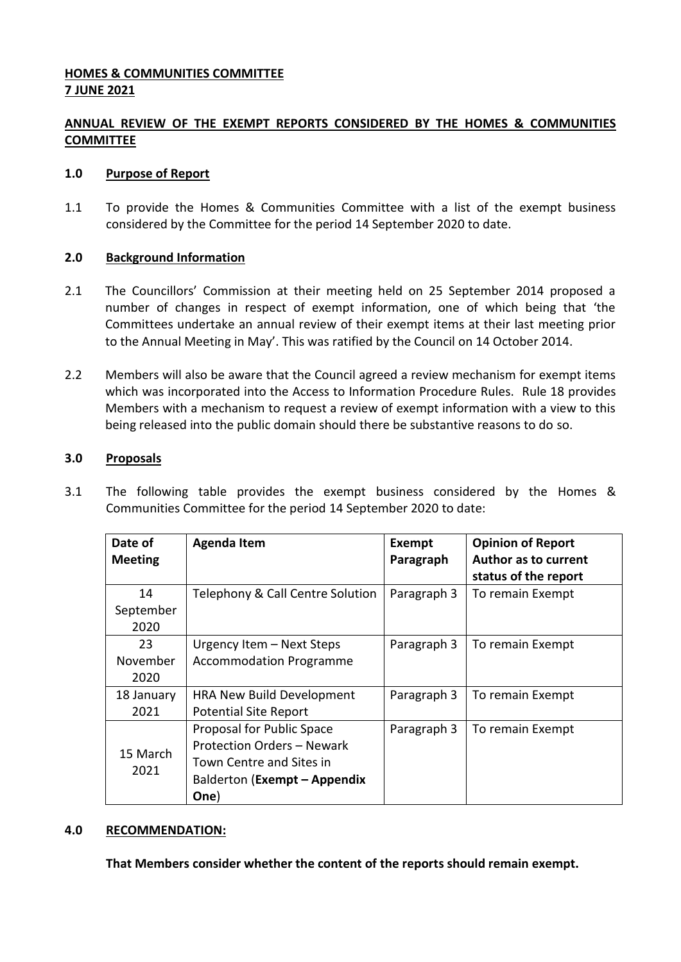# **HOMES & COMMUNITIES COMMITTEE 7 JUNE 2021**

# **ANNUAL REVIEW OF THE EXEMPT REPORTS CONSIDERED BY THE HOMES & COMMUNITIES COMMITTEE**

### **1.0 Purpose of Report**

1.1 To provide the Homes & Communities Committee with a list of the exempt business considered by the Committee for the period 14 September 2020 to date.

## **2.0 Background Information**

- 2.1 The Councillors' Commission at their meeting held on 25 September 2014 proposed a number of changes in respect of exempt information, one of which being that 'the Committees undertake an annual review of their exempt items at their last meeting prior to the Annual Meeting in May'. This was ratified by the Council on 14 October 2014.
- 2.2 Members will also be aware that the Council agreed a review mechanism for exempt items which was incorporated into the Access to Information Procedure Rules. Rule 18 provides Members with a mechanism to request a review of exempt information with a view to this being released into the public domain should there be substantive reasons to do so.

## **3.0 Proposals**

3.1 The following table provides the exempt business considered by the Homes & Communities Committee for the period 14 September 2020 to date:

| Date of          | <b>Agenda Item</b>               | Exempt      | <b>Opinion of Report</b>    |
|------------------|----------------------------------|-------------|-----------------------------|
| <b>Meeting</b>   |                                  | Paragraph   | <b>Author as to current</b> |
|                  |                                  |             | status of the report        |
| 14               | Telephony & Call Centre Solution | Paragraph 3 | To remain Exempt            |
| September        |                                  |             |                             |
| 2020             |                                  |             |                             |
| 23               | Urgency Item - Next Steps        | Paragraph 3 | To remain Exempt            |
| November         | <b>Accommodation Programme</b>   |             |                             |
| 2020             |                                  |             |                             |
| 18 January       | <b>HRA New Build Development</b> | Paragraph 3 | To remain Exempt            |
| 2021             | <b>Potential Site Report</b>     |             |                             |
| 15 March<br>2021 | Proposal for Public Space        | Paragraph 3 | To remain Exempt            |
|                  | Protection Orders - Newark       |             |                             |
|                  | Town Centre and Sites in         |             |                             |
|                  | Balderton (Exempt - Appendix     |             |                             |
|                  | One)                             |             |                             |

#### **4.0 RECOMMENDATION:**

**That Members consider whether the content of the reports should remain exempt.**